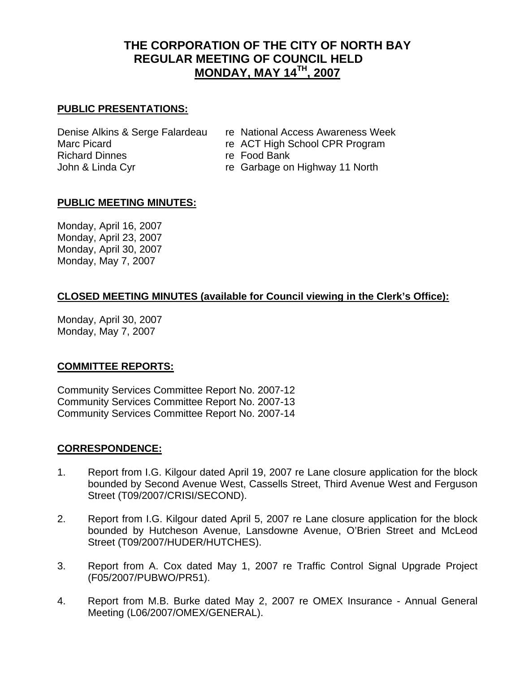# **THE CORPORATION OF THE CITY OF NORTH BAY REGULAR MEETING OF COUNCIL HELD MONDAY, MAY 14TH, 2007**

### **PUBLIC PRESENTATIONS:**

Richard Dinnes **re** Food Bank John & Linda Cyr **re Garbage on Highway 11 North** 

- Denise Alkins & Serge Falardeau re National Access Awareness Week
- Marc Picard **Research 19 Tells ACT High School CPR Program** 
	-
	-

#### **PUBLIC MEETING MINUTES:**

Monday, April 16, 2007 Monday, April 23, 2007 Monday, April 30, 2007 Monday, May 7, 2007

# **CLOSED MEETING MINUTES (available for Council viewing in the Clerk's Office):**

Monday, April 30, 2007 Monday, May 7, 2007

#### **COMMITTEE REPORTS:**

Community Services Committee Report No. 2007-12 Community Services Committee Report No. 2007-13 Community Services Committee Report No. 2007-14

#### **CORRESPONDENCE:**

- 1. Report from I.G. Kilgour dated April 19, 2007 re Lane closure application for the block bounded by Second Avenue West, Cassells Street, Third Avenue West and Ferguson Street (T09/2007/CRISI/SECOND).
- 2. Report from I.G. Kilgour dated April 5, 2007 re Lane closure application for the block bounded by Hutcheson Avenue, Lansdowne Avenue, O'Brien Street and McLeod Street (T09/2007/HUDER/HUTCHES).
- 3. Report from A. Cox dated May 1, 2007 re Traffic Control Signal Upgrade Project (F05/2007/PUBWO/PR51).
- 4. Report from M.B. Burke dated May 2, 2007 re OMEX Insurance Annual General Meeting (L06/2007/OMEX/GENERAL).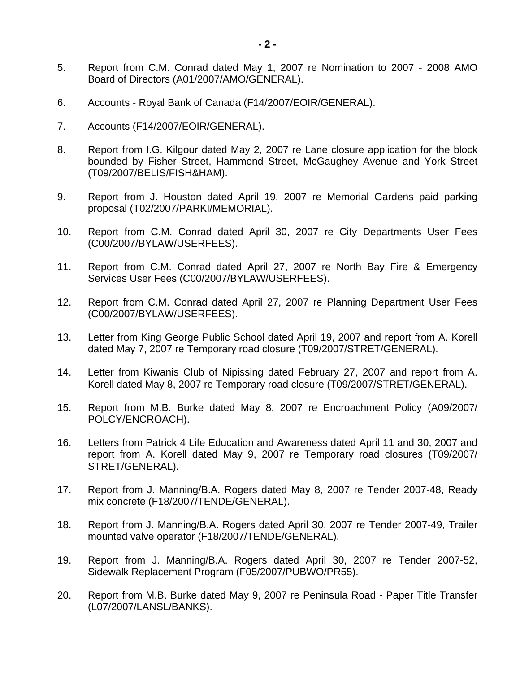- 5. Report from C.M. Conrad dated May 1, 2007 re Nomination to 2007 2008 AMO Board of Directors (A01/2007/AMO/GENERAL).
- 6. Accounts Royal Bank of Canada (F14/2007/EOIR/GENERAL).
- 7. Accounts (F14/2007/EOIR/GENERAL).
- 8. Report from I.G. Kilgour dated May 2, 2007 re Lane closure application for the block bounded by Fisher Street, Hammond Street, McGaughey Avenue and York Street (T09/2007/BELIS/FISH&HAM).
- 9. Report from J. Houston dated April 19, 2007 re Memorial Gardens paid parking proposal (T02/2007/PARKI/MEMORIAL).
- 10. Report from C.M. Conrad dated April 30, 2007 re City Departments User Fees (C00/2007/BYLAW/USERFEES).
- 11. Report from C.M. Conrad dated April 27, 2007 re North Bay Fire & Emergency Services User Fees (C00/2007/BYLAW/USERFEES).
- 12. Report from C.M. Conrad dated April 27, 2007 re Planning Department User Fees (C00/2007/BYLAW/USERFEES).
- 13. Letter from King George Public School dated April 19, 2007 and report from A. Korell dated May 7, 2007 re Temporary road closure (T09/2007/STRET/GENERAL).
- 14. Letter from Kiwanis Club of Nipissing dated February 27, 2007 and report from A. Korell dated May 8, 2007 re Temporary road closure (T09/2007/STRET/GENERAL).
- 15. Report from M.B. Burke dated May 8, 2007 re Encroachment Policy (A09/2007/ POLCY/ENCROACH).
- 16. Letters from Patrick 4 Life Education and Awareness dated April 11 and 30, 2007 and report from A. Korell dated May 9, 2007 re Temporary road closures (T09/2007/ STRET/GENERAL).
- 17. Report from J. Manning/B.A. Rogers dated May 8, 2007 re Tender 2007-48, Ready mix concrete (F18/2007/TENDE/GENERAL).
- 18. Report from J. Manning/B.A. Rogers dated April 30, 2007 re Tender 2007-49, Trailer mounted valve operator (F18/2007/TENDE/GENERAL).
- 19. Report from J. Manning/B.A. Rogers dated April 30, 2007 re Tender 2007-52, Sidewalk Replacement Program (F05/2007/PUBWO/PR55).
- 20. Report from M.B. Burke dated May 9, 2007 re Peninsula Road Paper Title Transfer (L07/2007/LANSL/BANKS).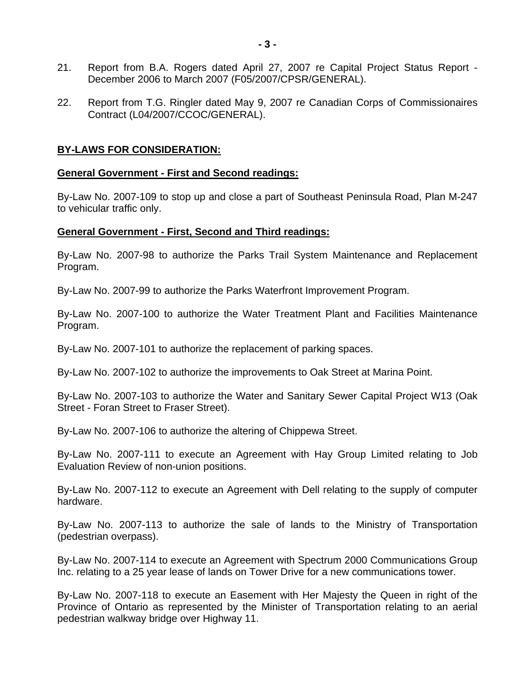- 21. Report from B.A. Rogers dated April 27, 2007 re Capital Project Status Report December 2006 to March 2007 (F05/2007/CPSR/GENERAL).
- 22. Report from T.G. Ringler dated May 9, 2007 re Canadian Corps of Commissionaires Contract (L04/2007/CCOC/GENERAL).

#### **BY-LAWS FOR CONSIDERATION:**

#### **General Government - First and Second readings:**

By-Law No. 2007-109 to stop up and close a part of Southeast Peninsula Road, Plan M-247 to vehicular traffic only.

#### **General Government - First, Second and Third readings:**

By-Law No. 2007-98 to authorize the Parks Trail System Maintenance and Replacement Program.

By-Law No. 2007-99 to authorize the Parks Waterfront Improvement Program.

By-Law No. 2007-100 to authorize the Water Treatment Plant and Facilities Maintenance Program.

By-Law No. 2007-101 to authorize the replacement of parking spaces.

By-Law No. 2007-102 to authorize the improvements to Oak Street at Marina Point.

By-Law No. 2007-103 to authorize the Water and Sanitary Sewer Capital Project W13 (Oak Street - Foran Street to Fraser Street).

By-Law No. 2007-106 to authorize the altering of Chippewa Street.

By-Law No. 2007-111 to execute an Agreement with Hay Group Limited relating to Job Evaluation Review of non-union positions.

By-Law No. 2007-112 to execute an Agreement with Dell relating to the supply of computer hardware.

By-Law No. 2007-113 to authorize the sale of lands to the Ministry of Transportation (pedestrian overpass).

By-Law No. 2007-114 to execute an Agreement with Spectrum 2000 Communications Group Inc. relating to a 25 year lease of lands on Tower Drive for a new communications tower.

By-Law No. 2007-118 to execute an Easement with Her Majesty the Queen in right of the Province of Ontario as represented by the Minister of Transportation relating to an aerial pedestrian walkway bridge over Highway 11.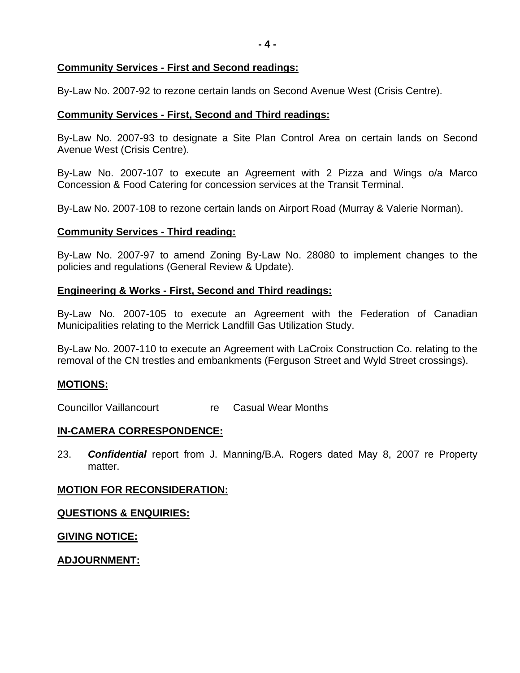**- 4 -**

#### **Community Services - First and Second readings:**

By-Law No. 2007-92 to rezone certain lands on Second Avenue West (Crisis Centre).

#### **Community Services - First, Second and Third readings:**

By-Law No. 2007-93 to designate a Site Plan Control Area on certain lands on Second Avenue West (Crisis Centre).

By-Law No. 2007-107 to execute an Agreement with 2 Pizza and Wings o/a Marco Concession & Food Catering for concession services at the Transit Terminal.

By-Law No. 2007-108 to rezone certain lands on Airport Road (Murray & Valerie Norman).

#### **Community Services - Third reading:**

By-Law No. 2007-97 to amend Zoning By-Law No. 28080 to implement changes to the policies and regulations (General Review & Update).

#### **Engineering & Works - First, Second and Third readings:**

By-Law No. 2007-105 to execute an Agreement with the Federation of Canadian Municipalities relating to the Merrick Landfill Gas Utilization Study.

By-Law No. 2007-110 to execute an Agreement with LaCroix Construction Co. relating to the removal of the CN trestles and embankments (Ferguson Street and Wyld Street crossings).

#### **MOTIONS:**

Councillor Vaillancourt re Casual Wear Months

#### **IN-CAMERA CORRESPONDENCE:**

23. *Confidential* report from J. Manning/B.A. Rogers dated May 8, 2007 re Property matter.

#### **MOTION FOR RECONSIDERATION:**

#### **QUESTIONS & ENQUIRIES:**

#### **GIVING NOTICE:**

#### **ADJOURNMENT:**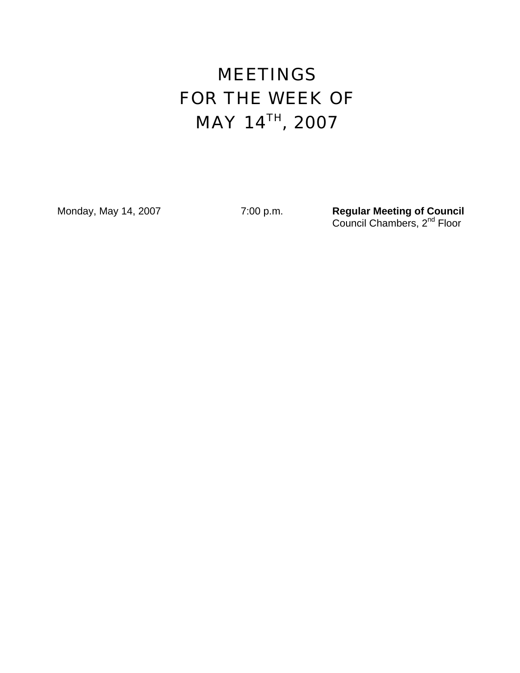# MEETINGS FOR THE WEEK OF MAY 14TH, 2007

Monday, May 14, 2007 **7:00 p.m. Regular Meeting of Council** *Council Chambers, 2<sup>nd</sup> Floor*